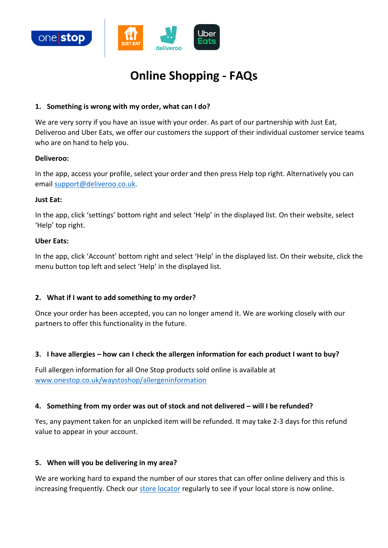

# **Online Shopping - FAQs**

## **1. Something is wrong with my order, what can I do?**

We are very sorry if you have an issue with your order. As part of our partnership with Just Eat, Deliveroo and Uber Eats, we offer our customers the support of their individual customer service teams who are on hand to help you.

#### **Deliveroo:**

In the app, access your profile, select your order and then press Help top right. Alternatively you can email [support@deliveroo.co.uk.](mailto:support@deliveroo.co.uk)

#### **Just Eat:**

In the app, click 'settings' bottom right and select 'Help' in the displayed list. On their website, select 'Help' top right.

#### **Uber Eats:**

In the app, click 'Account' bottom right and select 'Help' in the displayed list. On their website, click the menu button top left and select 'Help' in the displayed list.

## **2. What if I want to add something to my order?**

Once your order has been accepted, you can no longer amend it. We are working closely with our partners to offer this functionality in the future.

## **3. I have allergies – how can I check the allergen information for each product I want to buy?**

Full allergen information for all One Stop products sold online is available at [www.onestop.co.uk/waystoshop/allergeninformation](http://www.onestop.co.uk/waystoshop/allergeninformation)

## **4. Something from my order was out of stock and not delivered – will I be refunded?**

Yes, any payment taken for an unpicked item will be refunded. It may take 2-3 days for this refund value to appear in your account.

## **5. When will you be delivering in my area?**

We are working hard to expand the number of our stores that can offer online delivery and this is increasing frequently. Check our [store locator](https://www.onestop.co.uk/store-finder/) regularly to see if your local store is now online.